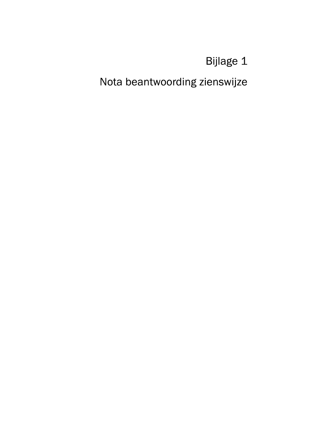Bijlage 1

Nota beantwoording zienswijze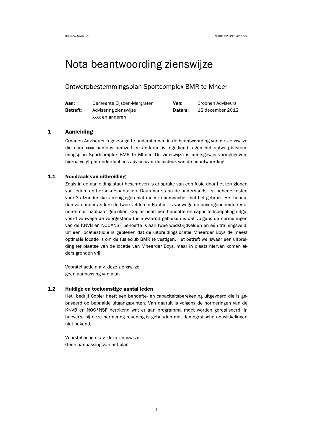# Nota beantwoording zienswijze

# Ontwerpbestemmingsplan Sportcomplex BMR te Mheer

| Aan:            | Gemeente Eijsden-Margraten | Van:   | Croonen Adviseurs |
|-----------------|----------------------------|--------|-------------------|
| <b>Betreft:</b> | Advisering zienswijze      | Datum: | 12 december 2012  |
|                 | xxxx en anderen            |        |                   |

#### $\mathbf{1}$ **Aanleiding**

Croonen Adviseurs is gevraagd te ondersteunen in de beantwoording van de zienswijze die door xxxx namens hemzelf en anderen is ingediend tegen het ontwerpbestemmingsplan Sportcomplex BMR te Mheer. De zienswijze is puntsgewijs vormgegeven, hierna volgt per onderdeel ons advies over de insteek van de beantwoording.

#### $1.1$ Noodzaak van uitbreiding

Zoals in de aanleiding staat beschreven is er sprake van een fusie door het teruglopen van leden- en bezoekersaantallen. Daardoor staan de onderhouds- en beheerskosten voor 3 afzonderlijke verenigingen niet meer in perspectief met het gebruik. Het behouden van onder andere de twee velden in Banholt is vanwege de bovengenoemde redeneren niet haalbaar gebleken. Copier heeft een behoefte en capaciteitsbepaling uitgevoerd vanwege de voorgestane fusie waaruit gebleken is dat volgens de normeringen van de KNVB en NOC\*NSF behoefte is aan twee wedstrijdvelden en één trainingsveld. Uit een locatiestudie is gebleken dat de uitbreidingslocatie Mheerder Boys de meest optimale locatie is om de fusieclub BMR te vestigen. Het betreft weliswaar een uitbreiding ter plaatse van de locatie van Mheerder Boys, maar in plaats hiervan komen elders gronden vrij.

Voorstel actie n.a.v. deze zienswijze: geen aanpassing van plan

#### $1.2$ Huidige en toekomstige aantal leden

Het bedrijf Copier heeft een behoefte- en capaciteitsberekening uitgevoerd die is gebaseerd op bepaalde uitgangspunten. Van daaruit is volgens de normeringen van de KNVB en NOC\*NSF berekend wat er aan programma moet worden gerealiseerd. In hoeverre bij deze normering rekening is gehouden met demografische ontwikkelingen niet bekend.

Voorstel actie n.a.v. deze zienswijze: Geen aanpassing van het plan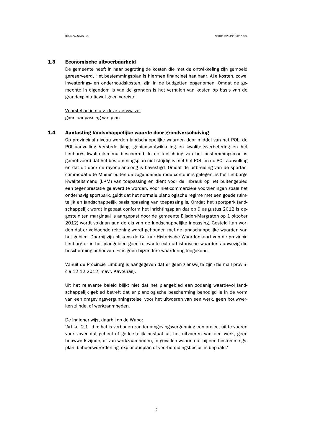#### $1.3$ Economische uitvoerbaarheid

De gemeente heeft in haar begroting de kosten die met de ontwikkeling zijn gemoeid gereserveerd. Het bestemmingsplan is hiermee financieel haalbaar. Alle kosten, zowel investerings- en onderhoudskosten, zijn in de budgetten opgenomen. Omdat de gemeente in eigendom is van de gronden is het verhalen van kosten op basis van de grondexploitatiewet geen vereiste.

Voorstel actie n.a.v. deze zienswijze: geen aanpassing van plan

#### $1.4$ Aantasting landschappelijke waarde door grondverschuiving

Op provinciaal niveau worden landschappelijke waarden door middel van het POL, de POL-aanvulling Verstedelijking, gebiedsontwikkeling en kwaliteitsverbetering en het Limburgs kwaliteitsmenu beschermd. In de toelichting van het bestemmingsplan is gemotiveerd dat het bestemmingsplan niet strijdig is met het POL en de POL-aanvulling en dat dit door de rayonplanoloog is bevestigd. Omdat de uitbreiding van de sportaccommodatie te Mheer buiten de zogenoemde rode contour is gelegen, is het Limburgs Kwaliteitsmenu (LKM) van toepassing en dient voor de inbreuk op het buitengebied een tegenprestatie geleverd te worden. Voor niet-commerciële voorzieningen zoals het onderhavig sportpark, geldt dat het normale planologische regime met een goede ruimtelijk en landschappelijk basisinpassing van toepassing is. Omdat het sportpark landschappelijk wordt ingepast conform het inrichtingsplan dat op 9 augustus 2012 is opgesteld (en marginaal is aangepast door de gemeente Eijsden-Margraten op 1 oktober 2012) wordt voldaan aan de eis van de landschappelijke inpassing. Gesteld kan worden dat er voldoende rekening wordt gehouden met de landschappelijke waarden van het gebied. Daarbij zijn blijkens de Cultuur Historische Waardenkaart van de provincie Limburg er in het plangebied geen relevante cultuurhistorische waarden aanwezig die bescherming behoeven. Er is geen bijzondere waardering toegekend.

Vanuit de Procincie Limburg is aangegeven dat er geen zienswijze zijn (zie mail provincie 12-12-2012, mevr. Kavouras).

Uit het relevante beleid blijkt niet dat het plangebied een zodanig waardevol landschappelijk gebied betreft dat er planologische bescherming benodigd is in de vorm van een omgevingsvergunningstelsel voor het uitvoeren van een werk, geen bouwwerken zijnde, of werkzaamheden.

### De indiener wijst daarbij op de Wabo:

'Artikel 2.1 lid b: het is verboden zonder omgevingsvergunning een project uit te voeren voor zover dat geheel of gedeeltelijk bestaat uit het uitvoeren van een werk, geen bouwwerk zijnde, of van werkzaamheden, in gevallen waarin dat bij een bestemmingsplan, beheersverordening, exploitatieplan of voorbereidingsbesluit is bepaald.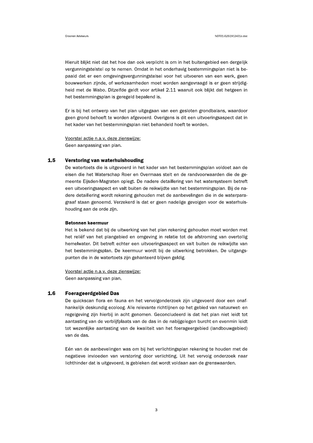Hieruit blijkt niet dat het hoe dan ook verplicht is om in het buitengebied een dergelijk vergunningstelstel op te nemen. Omdat in het onderhavig bestemmingsplan niet is bepaald dat er een omgevingsvergunningstelsel voor het uitvoeren van een werk, geen bouwwerken zijnde, of werkzaamheden moet worden aangevraagd is er geen strijdigheid met de Wabo. Ditzelfde geldt voor artikel 2.11 waaruit ook blijkt dat hetgeen in het bestemmingsplan is geregeld bepalend is.

Er is bij het ontwerp van het plan uitgegaan van een gesloten grondbalans, waardoor geen grond behoeft te worden afgevoerd. Overigens is dit een uitvoeringsaspect dat in het kader van het bestemmingsplan niet behandeld hoeft te worden.

Voorstel actie n.a.v. deze zienswijze: Geen aanpassing van plan.

#### $1.5$ Verstoring van waterhuishouding

De watertoets die is uitgevoerd in het kader van het bestemmingsplan voldoet aan de eisen die het Waterschap Roer en Overmaas stelt en de randvoorwaarden die de gemeente Eijsden-Magraten oplegt. De nadere detaillering van het watersysteem betreft een uitvoeringsaspect en valt buiten de reikwijdte van het bestemmingsplan. Bij de nadere detaillering wordt rekening gehouden met de aanbevelingen die in de waterparagraaf staan genoemd. Verzekerd is dat er geen nadelige gevolgen voor de waterhuishouding aan de orde zijn.

### **Betonnen keermuur**

Het is bekend dat bij de uitwerking van het plan rekening gehouden moet worden met het reliëf van het plangebied en omgeving in relatie tot de afstroming van overtollig hemelwater. Dit betreft echter een uitvoeringsaspect en valt buiten de reikwijdte van het bestemmingsplan. De keermuur wordt bij de uitwerking betrokken. De uitgangspunten die in de watertoets zijn gehanteerd blijven geldig.

Voorstel actie n.a.v. deze zienswijze: Geen aanpassing van plan.

#### $1.6$ **Foerageerdgebied Das**

De quickscan flora en fauna en het vervolgonderzoek zijn uitgevoerd door een onafhankelijk deskundig ecoloog. Alle relevante richtlijnen op het gebied van natuurwet- en regelgeving zijn hierbij in acht genomen. Geconcludeerd is dat het plan niet leidt tot aantasting van de verblijfplaats van de das in de nabijgelegen burcht en evenmin leidt tot wezenlijke aantasting van de kwaliteit van het foerageergebied (landbouwgebied) van de das.

Eén van de aanbevelingen was om bij het verlichtingsplan rekening te houden met de negatieve invloeden van verstoring door verlichting. Uit het vervolg onderzoek naar lichthinder dat is uitgevoerd, is gebleken dat wordt voldaan aan de grenswaarden.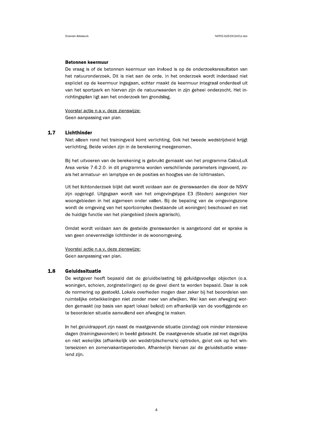### **Betonnen keermuur**

De vraag is of de betonnen keermuur van invloed is op de onderzoeksresultaten van het natuuronderzoek. Dit is niet aan de orde. In het onderzoek wordt inderdaad niet expliciet op de keermuur ingegaan, echter maakt de keermuur integraal onderdeel uit van het sportpark en hiervan zijn de natuurwaarden in zijn geheel onderzocht. Het inrichtingsplan ligt aan het onderzoek ten grondslag.

Voorstel actie n.a.v. deze zienswijze: Geen aanpassing van plan.

 $1.7$ Lichthinder

> Niet alleen rond het trainingveld komt verlichting. Ook het tweede wedstrijdveld krijgt verlichting. Beide velden zijn in de berekening meegenomen.

> Bij het uitvoeren van de berekening is gebruikt gemaakt van het programma CalcuLuX Area versie 7.6.2.0. in dit programma worden verschillende parameters ingevoerd, zoals het armatuur- en lamptype en de posities en hoogtes van de lichtmasten.

> Uit het lichtonderzoek blijkt dat wordt voldaan aan de grenswaarden die door de NSVV zijn opgelegd. Uitgegaan wordt van het omgevingstype E3 (Steden) aangezien hier woongebieden in het algemeen onder vallen. Bij de bepaling van de omgevingszone wordt de omgeving van het sportcomplex (bestaande uit woningen) beschouwd en niet de huidige functie van het plangebied (deels agrarisch).

> Omdat wordt voldaan aan de gestelde grenswaarden is aangetoond dat er sprake is van geen onevenredige lichthinder in de woonomgeving.

Voorstel actie n.a.v. deze zienswijze: Geen aanpassing van plan.

#### $1.8$ Geluidssituatie

De wetgever heeft bepaald dat de geluidbelasting bij geluidgevoelige objecten (o.a. woningen, scholen, zorginstellingen) op de gevel dient te worden bepaald. Daar is ook de normering op gestoeld. Lokale overheden mogen daar zeker bij het beoordelen van ruimtelijke ontwikkelingen niet zonder meer van afwijken. Wel kan een afweging worden gemaakt (op basis van apart lokaal beleid) om afhankelijk van de voorliggende en te beoordelen situatie aanvullend een afweging te maken.

In het geluidrapport zijn naast de maatgevende situatie (zondag) ook minder intensieve dagen (trainingsavonden) in beeld gebracht. De maatgevende situatie zal niet dagelijks en niet wekelijks (afhankelijk van wedstrijdschema's) optreden, gelet ook op het winterseizoen en zomervakantieperioden. Afhankelijk hiervan zal de geluidsituatie wisselend zijn.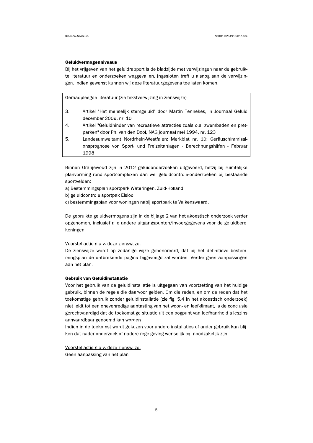### Geluidvermogenniveaus

Bij het vrijgeven van het geluidrapport is de bladzijde met verwijzingen naar de gebruikte literatuur en onderzoeken weggevallen. Ingesloten treft u alsnog aan de verwijzingen. Indien gewenst kunnen wij deze literatuurgegevens toe laten komen.

Geraadpleegde literatuur (zie tekstverwijzing in zienswijze)

- 3. Artikel "Het menselijk stemgeluid" door Martin Tennekes, in Journaal Geluid december 2009, nr. 10
- 4. Artikel "Geluidhinder van recreatieve attracties zoals o.a. zwembaden en pretparken" door Ph. van den Dool, NAG journaal mei 1994, nr. 123
- 5. Landesumweltamt Nordrhein-Westfalen: Merkblat nr. 10: Geräuschimmissionsprognose von Sport- und Freizeitanlagen - Berechnungshilfen - Februar 1998.

Binnen Oranjewoud zijn in 2012 geluidonderzoeken uitgevoerd, hetzij bij ruimtelijke planvorming rond sportcomplexen dan wel geluidcontrole-onderzoeken bij bestaande sportvelden:

- a) Bestemmingsplan sportpark Wateringen, Zuid-Holland
- b) geluidcontrole sportpak Elsloo
- c) bestemmingsplan voor woningen nabij sportpark te Valkenswaard.

De gebruikte geluidvermogens zijn in de bijlage 2 van het akoestisch onderzoek verder opgenomen, inclusief alle andere uitgangspunten/invoergegevens voor de geluidberekeningen.

### Voorstel actie n.a.v. deze zienswijze:

De zienswijze wordt op zodanige wijze gehonoreerd, dat bij het definitieve bestemmingsplan de ontbrekende pagina bijgevoegd zal worden. Verder geen aanpassingen aan het plan.

### **Gebruik van Geluidinstallatie**

Voor het gebruik van de geluidinstallatie is uitgegaan van voortzetting van het huidige gebruik, binnen de regels die daarvoor gelden. Om die reden, en om de reden dat het toekomstige gebruik zonder geluidinstallatie (zie fig. 5.4 in het akoestisch onderzoek) niet leidt tot een onevenredige aantasting van het woon- en leefklimaat, is de conclusie gerechtvaardigd dat de toekomstige situatie uit een oogpunt van leefbaarheid alleszins aanvaardbaar genoemd kan worden.

Indien in de toekomst wordt gekozen voor andere installaties of ander gebruik kan blijken dat nader onderzoek of nadere regelgeving wenselijk cq. noodzakelijk zijn.

Voorstel actie n.a.v. deze zienswijze:

Geen aanpassing van het plan.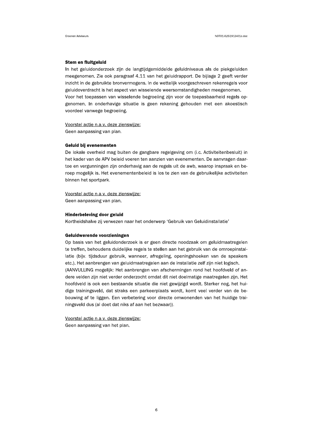### Stem en fluitgeluid

In het geluidonderzoek zijn de langtijdgemiddelde geluidniveaus als de piekgeluiden meegenomen. Zie ook paragraaf 4.11 van het geluidrapport. De bijlage 2 geeft verder inzicht in de gebruikte bronvermogens. In de wettelijk voorgeschreven rekenregels voor geluidoverdracht is het aspect van wisselende weersomstandigheden meegenomen. Voor het toepassen van wisselende begroeiing zijn voor de toepasbaarheid regels opgenomen. In onderhavige situatie is geen rekening gehouden met een akoestisch voordeel vanwege begroeiing.

Voorstel actie n.a.v. deze zienswijze: Geen aanpassing van plan.

#### Geluid bij evenementen

De lokale overheid mag buiten de gangbare regelgeving om (i.c. Activiteitenbesluit) in het kader van de APV beleid voeren ten aanzien van evenementen. De aanvragen daartoe en vergunningen zijn onderhavig aan de regels uit de awb, waarop inspraak en beroep mogelijk is. Het evenementenbeleid is los te zien van de gebruikelijke activiteiten binnen het sportpark.

Voorstel actie n.a.v. deze zienswiize:

Geen aanpassing van plan.

### **Hinderbeleving door geluid**

Kortheidshalve zij verwezen naar het onderwerp 'Gebruik van Geluidinstallatie'

#### Geluidwerende voorzieningen

Op basis van het geluidonderzoek is er geen directe noodzaak om geluidmaatregelen te treffen, behoudens duidelijke regels te stellen aan het gebruik van de omroepinstallatie (bijv. tijdsduur gebruik, wanneer, afregeling, openingshoeken van de speakers etc.). Het aanbrengen van geluidmaatregelen aan de installatie zelf zijn niet logisch. (AANVULLING mogelijk: Het aanbrengen van afschermingen rond het hoofdveld of andere velden zijn niet verder onderzocht omdat dit niet doelmatige maatregelen zijn. Het hoofdveld is ook een bestaande situatie die niet gewijzigd wordt. Sterker nog, het huidige trainingsveld, dat straks een parkeerplaats wordt, komt veel verder van de bebouwing af te liggen. Een verbetering voor directe omwonenden van het huidige trainingsveld dus (al doet dat niks af aan het bezwaar)).

Voorstel actie n.a.v. deze zienswijze:

Geen aanpassing van het plan.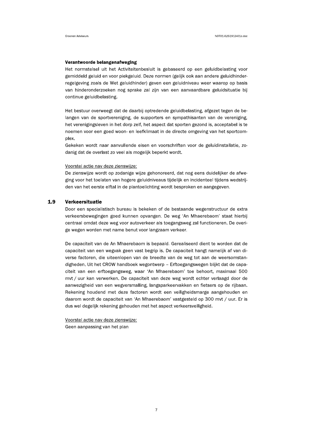### Verantwoorde belangenafweging

Het normstelsel uit het Activiteitenbesluit is gebaseerd op een geluidbelasting voor gemiddeld geluid en voor piekgeluid. Deze normen (gelijk ook aan andere geluidhinderregelgeving zoals de Wet geluidhinder) geven een geluidniveau weer waarop op basis van hinderonderzoeken nog sprake zal zijn van een aanvaardbare geluidsituatie bij continue geluidbelasting.

Het bestuur overweegt dat de daarbij optredende geluidbelasting, afgezet tegen de belangen van de sportvereniging, de supporters en sympathisanten van de vereniging, het verenigingsleven in het dorp zelf, het aspect dat sporten gezond is, acceptabel is te noemen voor een goed woon- en leefklimaat in de directe omgeving van het sportcomplex.

Gekeken wordt naar aanvullende eisen en voorschriften voor de geluidinstallatie, zodanig dat de overlast zo veel als mogelijk beperkt wordt.

### Voorstel actie nav deze zienswijze:

De zienswijze wordt op zodanige wijze gehonoreerd, dat nog eens duidelijker de afweging voor het toelaten van hogere geluidniveaus tijdelijk en incidenteel tijdens wedstrijden van het eerste elftal in de plantoelichting wordt besproken en aangegeven.

#### 1.9 Verkeersituatie

Door een specialistisch bureau is bekeken of de bestaande wegenstructuur de extra verkeersbewegingen goed kunnen opvangen. De weg 'An Mhaerebaom' staat hierbij centraal omdat deze weg voor autoverkeer als toegangsweg zal functioneren. De overige wegen worden met name benut voor langzaam verkeer.

De capaciteit van de An Mhaerebaom is bepaald. Gerealiseerd dient te worden dat de capaciteit van een wegvak geen vast begrip is. De capaciteit hangt namelijk af van diverse factoren, die uiteenlopen van de breedte van de weg tot aan de weersomstandigheden. Uit het CROW handboek wegontwerp - Erftoegangswegen blijkt dat de capaciteit van een erftoegangsweg, waar 'An Mhaerebaom' toe behoort, maximaal 500 mvt / uur kan verwerken. De capaciteit van deze weg wordt echter verlaagd door de aanwezigheid van een wegversmalling, langsparkeervakken en fietsers op de rijbaan. Rekening houdend met deze factoren wordt een veiligheidsmarge aangehouden en daarom wordt de capaciteit van 'An Mhaerebaom' vastgesteld op 300 mvt / uur. Er is dus wel degelijk rekening gehouden met het aspect verkeersveiligheid.

Voorstel actie nav deze zienswijze:

Geen aanpassing van het plan